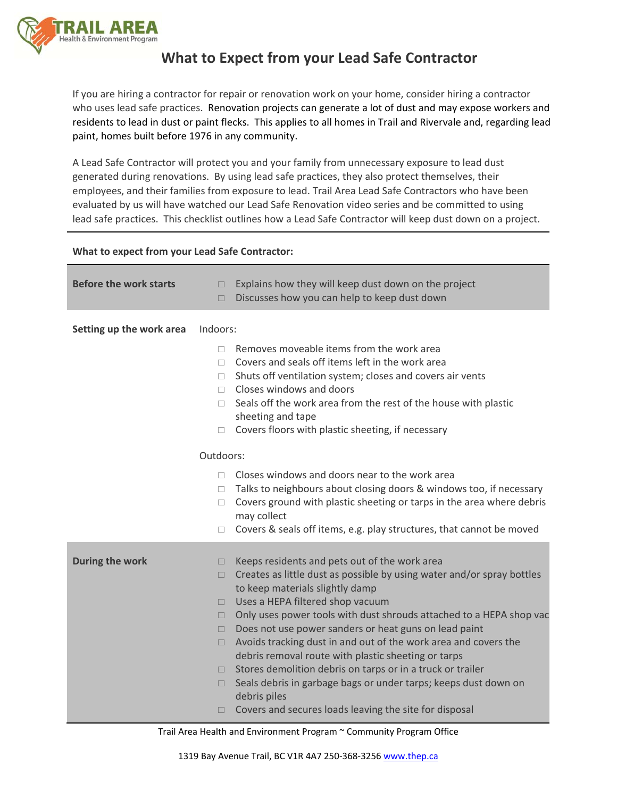

## **What to Expect from your Lead Safe Contractor**

If you are hiring a contractor for repair or renovation work on your home, consider hiring a contractor who uses lead safe practices. Renovation projects can generate a lot of dust and may expose workers and residents to lead in dust or paint flecks. This applies to all homes in Trail and Rivervale and, regarding lead paint, homes built before 1976 in any community.

A Lead Safe Contractor will protect you and your family from unnecessary exposure to lead dust generated during renovations. By using lead safe practices, they also protect themselves, their employees, and their families from exposure to lead. Trail Area Lead Safe Contractors who have been evaluated by us will have watched our Lead Safe Renovation video series and be committed to using lead safe practices. This checklist outlines how a Lead Safe Contractor will keep dust down on a project.

## **What to expect from your Lead Safe Contractor:**

| <b>Before the work starts</b> | Explains how they will keep dust down on the project<br>$\Box$<br>Discusses how you can help to keep dust down<br>$\Box$                                                                                                                                                                                                                                                                                                                                                                                                                                                                                                                                                                                                                  |  |
|-------------------------------|-------------------------------------------------------------------------------------------------------------------------------------------------------------------------------------------------------------------------------------------------------------------------------------------------------------------------------------------------------------------------------------------------------------------------------------------------------------------------------------------------------------------------------------------------------------------------------------------------------------------------------------------------------------------------------------------------------------------------------------------|--|
| Setting up the work area      | Indoors:                                                                                                                                                                                                                                                                                                                                                                                                                                                                                                                                                                                                                                                                                                                                  |  |
|                               | Removes moveable items from the work area<br>П<br>Covers and seals off items left in the work area<br>$\Box$<br>Shuts off ventilation system; closes and covers air vents<br>$\Box$<br>Closes windows and doors<br>$\Box$<br>Seals off the work area from the rest of the house with plastic<br>П.<br>sheeting and tape<br>Covers floors with plastic sheeting, if necessary<br>$\Box$                                                                                                                                                                                                                                                                                                                                                    |  |
| Outdoors:                     |                                                                                                                                                                                                                                                                                                                                                                                                                                                                                                                                                                                                                                                                                                                                           |  |
|                               | Closes windows and doors near to the work area<br>$\Box$<br>Talks to neighbours about closing doors & windows too, if necessary<br>П.<br>Covers ground with plastic sheeting or tarps in the area where debris<br>П.<br>may collect                                                                                                                                                                                                                                                                                                                                                                                                                                                                                                       |  |
|                               | Covers & seals off items, e.g. play structures, that cannot be moved<br>$\Box$                                                                                                                                                                                                                                                                                                                                                                                                                                                                                                                                                                                                                                                            |  |
| During the work               | Keeps residents and pets out of the work area<br>□<br>Creates as little dust as possible by using water and/or spray bottles<br>$\Box$<br>to keep materials slightly damp<br>Uses a HEPA filtered shop vacuum<br>$\Box$<br>Only uses power tools with dust shrouds attached to a HEPA shop vac<br>□<br>Does not use power sanders or heat guns on lead paint<br>$\Box$<br>Avoids tracking dust in and out of the work area and covers the<br>□<br>debris removal route with plastic sheeting or tarps<br>Stores demolition debris on tarps or in a truck or trailer<br>п<br>Seals debris in garbage bags or under tarps; keeps dust down on<br>$\Box$<br>debris piles<br>Covers and secures loads leaving the site for disposal<br>$\Box$ |  |

Trail Area Health and Environment Program ~ Community Program Office